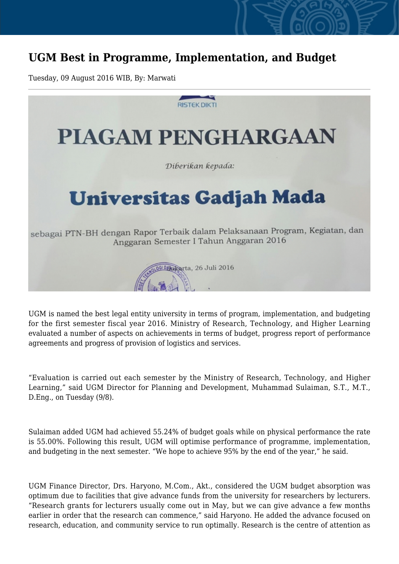## **UGM Best in Programme, Implementation, and Budget**

Tuesday, 09 August 2016 WIB, By: Marwati



UGM is named the best legal entity university in terms of program, implementation, and budgeting for the first semester fiscal year 2016. Ministry of Research, Technology, and Higher Learning evaluated a number of aspects on achievements in terms of budget, progress report of performance agreements and progress of provision of logistics and services.

"Evaluation is carried out each semester by the Ministry of Research, Technology, and Higher Learning," said UGM Director for Planning and Development, Muhammad Sulaiman, S.T., M.T., D.Eng., on Tuesday (9/8).

Sulaiman added UGM had achieved 55.24% of budget goals while on physical performance the rate is 55.00%. Following this result, UGM will optimise performance of programme, implementation, and budgeting in the next semester. "We hope to achieve 95% by the end of the year," he said.

UGM Finance Director, Drs. Haryono, M.Com., Akt., considered the UGM budget absorption was optimum due to facilities that give advance funds from the university for researchers by lecturers. "Research grants for lecturers usually come out in May, but we can give advance a few months earlier in order that the research can commence," said Haryono. He added the advance focused on research, education, and community service to run optimally. Research is the centre of attention as